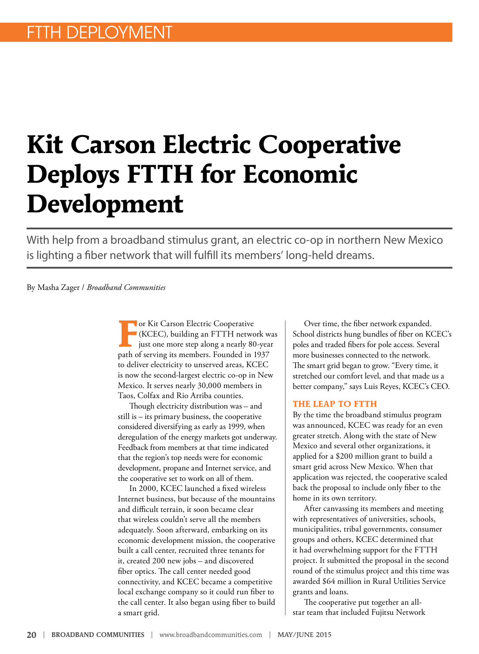# **Kit Carson Electric Cooperative Deploys FTTH for Economic Development**

With help from a broadband stimulus grant, an electric co-op in northern New Mexico is lighting a fiber network that will fulfill its members' long-held dreams.

#### By Masha Zager / *Broadband Communities*

**For Kit Carson Electric Cooperative**<br>(KCEC), building an FTTH netwo<br>just one more step along a nearly 80 (KCEC), building an FTTH network was just one more step along a nearly 80-year path of serving its members. Founded in 1937 to deliver electricity to unserved areas, KCEC is now the second-largest electric co-op in New Mexico. It serves nearly 30,000 members in Taos, Colfax and Rio Arriba counties.

Though electricity distribution was – and still is – its primary business, the cooperative considered diversifying as early as 1999, when deregulation of the energy markets got underway. Feedback from members at that time indicated that the region's top needs were for economic development, propane and Internet service, and the cooperative set to work on all of them.

In 2000, KCEC launched a fixed wireless Internet business, but because of the mountains and difficult terrain, it soon became clear that wireless couldn't serve all the members adequately. Soon afterward, embarking on its economic development mission, the cooperative built a call center, recruited three tenants for it, created 200 new jobs – and discovered fiber optics. The call center needed good connectivity, and KCEC became a competitive local exchange company so it could run fiber to the call center. It also began using fiber to build a smart grid.

Over time, the fiber network expanded. School districts hung bundles of fiber on KCEC's poles and traded fibers for pole access. Several more businesses connected to the network. The smart grid began to grow. "Every time, it stretched our comfort level, and that made us a better company," says Luis Reyes, KCEC's CEO.

#### **THE LEAP TO FTTH**

By the time the broadband stimulus program was announced, KCEC was ready for an even greater stretch. Along with the state of New Mexico and several other organizations, it applied for a \$200 million grant to build a smart grid across New Mexico. When that application was rejected, the cooperative scaled back the proposal to include only fiber to the home in its own territory.

After canvassing its members and meeting with representatives of universities, schools, municipalities, tribal governments, consumer groups and others, KCEC determined that it had overwhelming support for the FTTH project. It submitted the proposal in the second round of the stimulus project and this time was awarded \$64 million in Rural Utilities Service grants and loans.

The cooperative put together an allstar team that included Fujitsu Network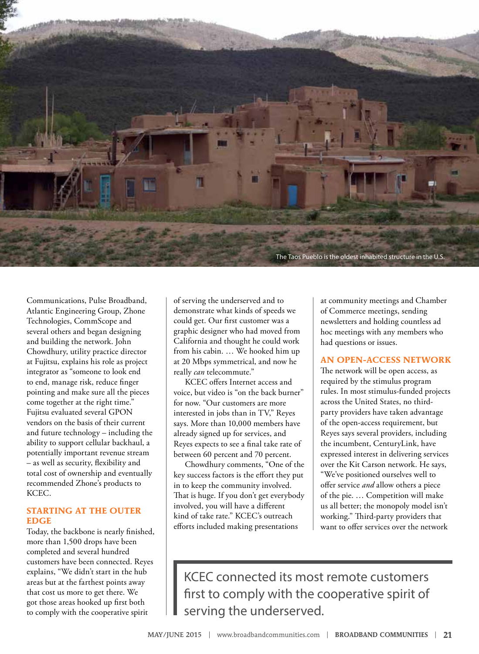

Communications, Pulse Broadband, Atlantic Engineering Group, Zhone Technologies, CommScope and several others and began designing and building the network. John Chowdhury, utility practice director at Fujitsu, explains his role as project integrator as "someone to look end to end, manage risk, reduce finger pointing and make sure all the pieces come together at the right time." Fujitsu evaluated several GPON vendors on the basis of their current and future technology – including the ability to support cellular backhaul, a potentially important revenue stream – as well as security, flexibility and total cost of ownership and eventually recommended Zhone's products to KCEC.

## **STARTING AT THE OUTER EDGE**

Today, the backbone is nearly finished, more than 1,500 drops have been completed and several hundred customers have been connected. Reyes explains, "We didn't start in the hub areas but at the farthest points away that cost us more to get there. We got those areas hooked up first both to comply with the cooperative spirit

of serving the underserved and to demonstrate what kinds of speeds we could get. Our first customer was a graphic designer who had moved from California and thought he could work from his cabin. … We hooked him up at 20 Mbps symmetrical, and now he really *can* telecommute."

KCEC offers Internet access and voice, but video is "on the back burner" for now. "Our customers are more interested in jobs than in TV," Reyes says. More than 10,000 members have already signed up for services, and Reyes expects to see a final take rate of between 60 percent and 70 percent.

Chowdhury comments, "One of the key success factors is the effort they put in to keep the community involved. That is huge. If you don't get everybody involved, you will have a different kind of take rate." KCEC's outreach efforts included making presentations

at community meetings and Chamber of Commerce meetings, sending newsletters and holding countless ad hoc meetings with any members who had questions or issues.

#### **AN OPEN-ACCESS NETWORK**

The network will be open access, as required by the stimulus program rules. In most stimulus-funded projects across the United States, no thirdparty providers have taken advantage of the open-access requirement, but Reyes says several providers, including the incumbent, CenturyLink, have expressed interest in delivering services over the Kit Carson network. He says, "We've positioned ourselves well to offer service *and* allow others a piece of the pie. … Competition will make us all better; the monopoly model isn't working." Third-party providers that want to offer services over the network

KCEC connected its most remote customers first to comply with the cooperative spirit of serving the underserved.